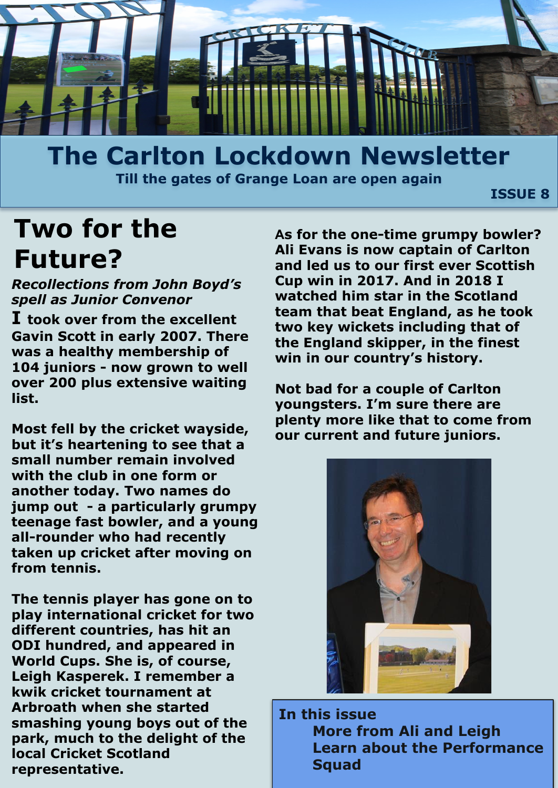

### **The Carlton Lockdown Newsletter Till the gates of Grange Loan are open again**

 **ISSUE 8**

## **Two for the Future?**

*. spell as Junior Convenor Recollections from John Boyd's* 

**I took over from the excellent Gavin Scott in early 2007. There was a healthy membership of 104 juniors - now grown to well over 200 plus extensive waiting list.**

**Most fell by the cricket wayside, but it's heartening to see that a small number remain involved with the club in one form or another today. Two names do jump out - a particularly grumpy teenage fast bowler, and a young all-rounder who had recently taken up cricket after moving on from tennis.**

**The tennis player has gone on to play international cricket for two different countries, has hit an ODI hundred, and appeared in World Cups. She is, of course, Leigh Kasperek. I remember a kwik cricket tournament at Arbroath when she started smashing young boys out of the park, much to the delight of the local Cricket Scotland representative.** 

**As for the one-time grumpy bowler? Ali Evans is now captain of Carlton and led us to our first ever Scottish Cup win in 2017. And in 2018 I watched him star in the Scotland team that beat England, as he took two key wickets including that of the England skipper, in the finest win in our country's history.**

**Not bad for a couple of Carlton youngsters. I'm sure there are plenty more like that to come from our current and future juniors.** 



**In this issue More from Ali and Leigh Learn about the Performance Squad**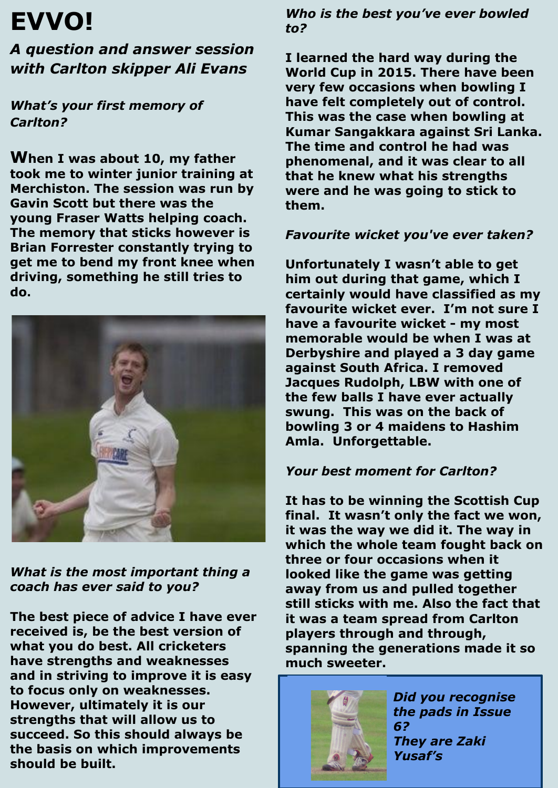# **EVVO!**

*A question and answer session with Carlton skipper Ali Evans* 

*What's your first memory of Carlton?*

**When I was about 10, my father took me to winter junior training at Merchiston. The session was run by Gavin Scott but there was the young Fraser Watts helping coach. The memory that sticks however is Brian Forrester constantly trying to get me to bend my front knee when driving, something he still tries to do.**



*What is the most important thing a coach has ever said to you?*

**The best piece of advice I have ever received is, be the best version of what you do best. All cricketers have strengths and weaknesses and in striving to improve it is easy to focus only on weaknesses. However, ultimately it is our strengths that will allow us to succeed. So this should always be the basis on which improvements should be built.**

*Who is the best you've ever bowled to?*

**I learned the hard way during the World Cup in 2015. There have been very few occasions when bowling I have felt completely out of control. This was the case when bowling at Kumar Sangakkara against Sri Lanka. The time and control he had was phenomenal, and it was clear to all that he knew what his strengths were and he was going to stick to them.**

#### *Favourite wicket you've ever taken?*

**Unfortunately I wasn't able to get him out during that game, which I certainly would have classified as my favourite wicket ever. I'm not sure I have a favourite wicket - my most memorable would be when I was at Derbyshire and played a 3 day game against South Africa. I removed Jacques Rudolph, LBW with one of the few balls I have ever actually swung. This was on the back of bowling 3 or 4 maidens to Hashim Amla. Unforgettable.**

#### *Your best moment for Carlton?*

**It has to be winning the Scottish Cup final. It wasn't only the fact we won, it was the way we did it. The way in which the whole team fought back on three or four occasions when it looked like the game was getting away from us and pulled together still sticks with me. Also the fact that it was a team spread from Carlton players through and through, spanning the generations made it so much sweeter.**



*Did you recognise the pads in Issue 6? They are Zaki Yusaf's*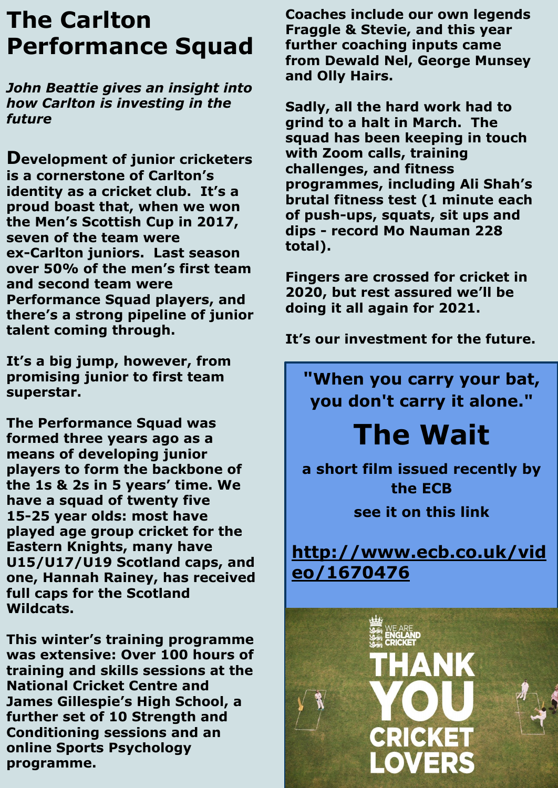## **The Carlton Performance Squad**

*John Beattie gives an insight into how Carlton is investing in the future*

**Development of junior cricketers is a cornerstone of Carlton's identity as a cricket club. It's a proud boast that, when we won the Men's Scottish Cup in 2017, seven of the team were ex-Carlton juniors. Last season over 50% of the men's first team and second team were Performance Squad players, and there's a strong pipeline of junior talent coming through.** 

**It's a big jump, however, from promising junior to first team superstar.**

**The Performance Squad was formed three years ago as a means of developing junior players to form the backbone of the 1s & 2s in 5 years' time. We have a squad of twenty five 15-25 year olds: most have played age group cricket for the Eastern Knights, many have U15/U17/U19 Scotland caps, and one, Hannah Rainey, has received full caps for the Scotland Wildcats.**

**This winter's training programme was extensive: Over 100 hours of training and skills sessions at the National Cricket Centre and James Gillespie's High School, a further set of 10 Strength and Conditioning sessions and an online Sports Psychology programme.** 

**Coaches include our own legends Fraggle & Stevie, and this year further coaching inputs came from Dewald Nel, George Munsey and Olly Hairs.**

**Sadly, all the hard work had to grind to a halt in March. The squad has been keeping in touch with Zoom calls, training challenges, and fitness programmes, including Ali Shah's brutal fitness test (1 minute each of push-ups, squats, sit ups and dips - record Mo Nauman 228 total).** 

**Fingers are crossed for cricket in 2020, but rest assured we'll be doing it all again for 2021.** 

**It's our investment for the future.**

**"When you carry your bat, you don't carry it alone."** 

# **The Wait**

**a short film issued recently by the ECB see it on this link**

**[http://www.ecb.co.uk/vid](https://www.google.com/url?q=http://www.ecb.co.uk/video/1670476&sa=D&ust=1590338998865000&usg=AFQjCNGxDJ29kFKp332ShMVWGbqW11C53g) [eo/1670476](https://www.google.com/url?q=http://www.ecb.co.uk/video/1670476&sa=D&ust=1590338998865000&usg=AFQjCNGxDJ29kFKp332ShMVWGbqW11C53g)**

CRICI

LOVERS

ANK